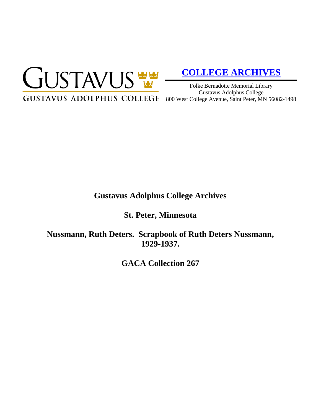

# **[COLLEGE ARCHIVES](http://gustavus.edu/academics/library/archives/)**

Folke Bernadotte Memorial Library Gustavus Adolphus College

# **Gustavus Adolphus College Archives**

**St. Peter, Minnesota**

**Nussmann, Ruth Deters. Scrapbook of Ruth Deters Nussmann, 1929-1937.**

**GACA Collection 267**